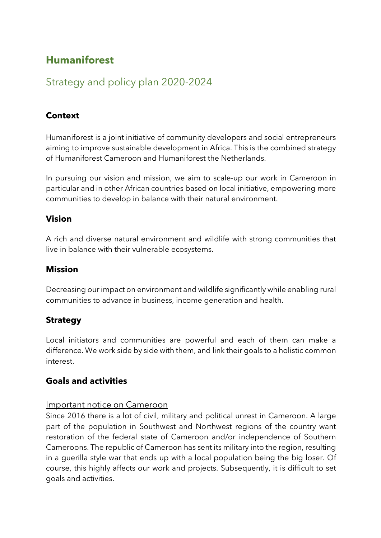# **Humaniforest**

# Strategy and policy plan 2020-2024

# **Context**

Humaniforest is a joint initiative of community developers and social entrepreneurs aiming to improve sustainable development in Africa. This is the combined strategy of Humaniforest Cameroon and Humaniforest the Netherlands.

In pursuing our vision and mission, we aim to scale-up our work in Cameroon in particular and in other African countries based on local initiative, empowering more communities to develop in balance with their natural environment.

# **Vision**

A rich and diverse natural environment and wildlife with strong communities that live in balance with their vulnerable ecosystems.

#### **Mission**

Decreasing our impact on environment and wildlife significantly while enabling rural communities to advance in business, income generation and health.

# **Strategy**

Local initiators and communities are powerful and each of them can make a difference. We work side by side with them, and link their goals to a holistic common interest.

# **Goals and activities**

#### Important notice on Cameroon

Since 2016 there is a lot of civil, military and political unrest in Cameroon. A large part of the population in Southwest and Northwest regions of the country want restoration of the federal state of Cameroon and/or independence of Southern Cameroons. The republic of Cameroon has sent its military into the region, resulting in a guerilla style war that ends up with a local population being the big loser. Of course, this highly affects our work and projects. Subsequently, it is difficult to set goals and activities.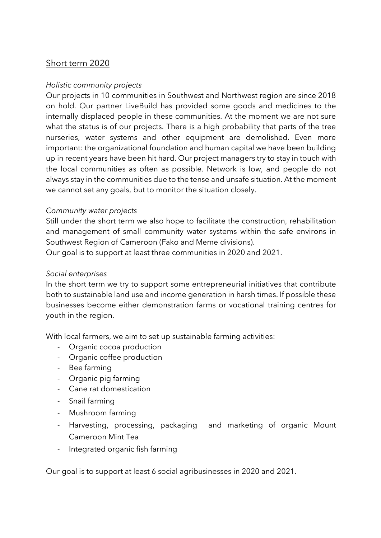# Short term 2020

#### *Holistic community projects*

Our projects in 10 communities in Southwest and Northwest region are since 2018 on hold. Our partner LiveBuild has provided some goods and medicines to the internally displaced people in these communities. At the moment we are not sure what the status is of our projects. There is a high probability that parts of the tree nurseries, water systems and other equipment are demolished. Even more important: the organizational foundation and human capital we have been building up in recent years have been hit hard. Our project managers try to stay in touch with the local communities as often as possible. Network is low, and people do not always stay in the communities due to the tense and unsafe situation. At the moment we cannot set any goals, but to monitor the situation closely.

#### *Community water projects*

Still under the short term we also hope to facilitate the construction, rehabilitation and management of small community water systems within the safe environs in Southwest Region of Cameroon (Fako and Meme divisions).

Our goal is to support at least three communities in 2020 and 2021.

#### *Social enterprises*

In the short term we try to support some entrepreneurial initiatives that contribute both to sustainable land use and income generation in harsh times. If possible these businesses become either demonstration farms or vocational training centres for youth in the region.

With local farmers, we aim to set up sustainable farming activities:

- Organic cocoa production
- Organic coffee production
- Bee farming
- Organic pig farming
- Cane rat domestication
- Snail farming
- Mushroom farming
- Harvesting, processing, packaging and marketing of organic Mount Cameroon Mint Tea
- Integrated organic fish farming

Our goal is to support at least 6 social agribusinesses in 2020 and 2021.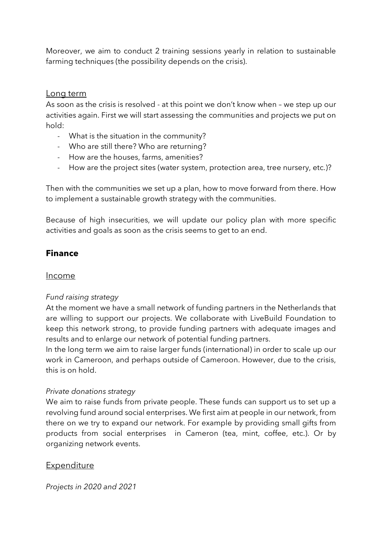Moreover, we aim to conduct 2 training sessions yearly in relation to sustainable farming techniques (the possibility depends on the crisis).

#### Long term

As soon as the crisis is resolved - at this point we don't know when – we step up our activities again. First we will start assessing the communities and projects we put on hold:

- What is the situation in the community?
- Who are still there? Who are returning?
- How are the houses, farms, amenities?
- How are the project sites (water system, protection area, tree nursery, etc.)?

Then with the communities we set up a plan, how to move forward from there. How to implement a sustainable growth strategy with the communities.

Because of high insecurities, we will update our policy plan with more specific activities and goals as soon as the crisis seems to get to an end.

# **Finance**

#### Income

#### *Fund raising strategy*

At the moment we have a small network of funding partners in the Netherlands that are willing to support our projects. We collaborate with LiveBuild Foundation to keep this network strong, to provide funding partners with adequate images and results and to enlarge our network of potential funding partners.

In the long term we aim to raise larger funds (international) in order to scale up our work in Cameroon, and perhaps outside of Cameroon. However, due to the crisis, this is on hold.

#### *Private donations strategy*

We aim to raise funds from private people. These funds can support us to set up a revolving fund around social enterprises. We first aim at people in our network, from there on we try to expand our network. For example by providing small gifts from products from social enterprises in Cameron (tea, mint, coffee, etc.). Or by organizing network events.

#### Expenditure

*Projects in 2020 and 2021*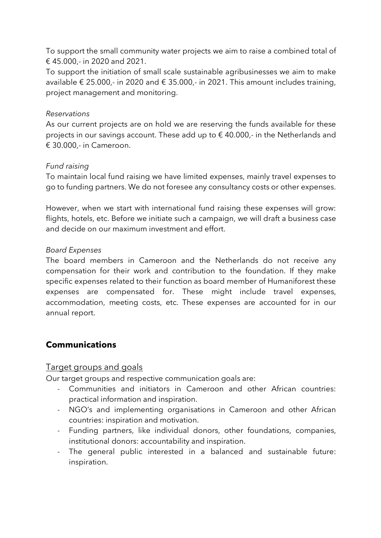To support the small community water projects we aim to raise a combined total of € 45.000,- in 2020 and 2021.

To support the initiation of small scale sustainable agribusinesses we aim to make available  $\epsilon$  25.000,- in 2020 and  $\epsilon$  35.000,- in 2021. This amount includes training, project management and monitoring.

#### *Reservations*

As our current projects are on hold we are reserving the funds available for these projects in our savings account. These add up to  $\epsilon$  40.000,- in the Netherlands and € 30.000,- in Cameroon.

#### *Fund raising*

To maintain local fund raising we have limited expenses, mainly travel expenses to go to funding partners. We do not foresee any consultancy costs or other expenses.

However, when we start with international fund raising these expenses will grow: flights, hotels, etc. Before we initiate such a campaign, we will draft a business case and decide on our maximum investment and effort.

#### *Board Expenses*

The board members in Cameroon and the Netherlands do not receive any compensation for their work and contribution to the foundation. If they make specific expenses related to their function as board member of Humaniforest these expenses are compensated for. These might include travel expenses, accommodation, meeting costs, etc. These expenses are accounted for in our annual report.

# **Communications**

# Target groups and goals

Our target groups and respective communication goals are:

- Communities and initiators in Cameroon and other African countries: practical information and inspiration.
- NGO's and implementing organisations in Cameroon and other African countries: inspiration and motivation.
- Funding partners, like individual donors, other foundations, companies, institutional donors: accountability and inspiration.
- The general public interested in a balanced and sustainable future: inspiration.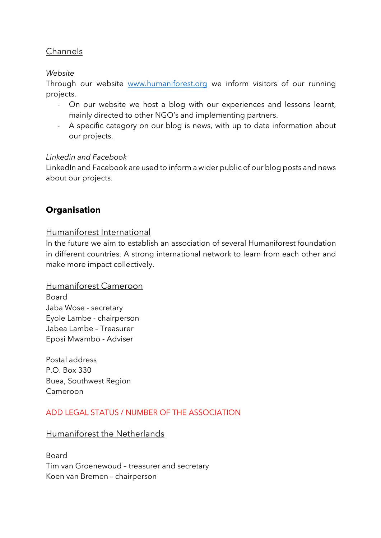# Channels

#### *Website*

Through our website www.humaniforest.org we inform visitors of our running projects.

- On our website we host a blog with our experiences and lessons learnt, mainly directed to other NGO's and implementing partners.
- A specific category on our blog is news, with up to date information about our projects.

#### *Linkedin and Facebook*

LinkedIn and Facebook are used to inform a wider public of our blog posts and news about our projects.

# **Organisation**

# Humaniforest International

In the future we aim to establish an association of several Humaniforest foundation in different countries. A strong international network to learn from each other and make more impact collectively.

#### Humaniforest Cameroon

Board Jaba Wose - secretary Eyole Lambe - chairperson Jabea Lambe – Treasurer Eposi Mwambo - Adviser

Postal address P.O. Box 330 Buea, Southwest Region Cameroon

# ADD LEGAL STATUS / NUMBER OF THE ASSOCIATION

# Humaniforest the Netherlands

Board Tim van Groenewoud – treasurer and secretary Koen van Bremen – chairperson